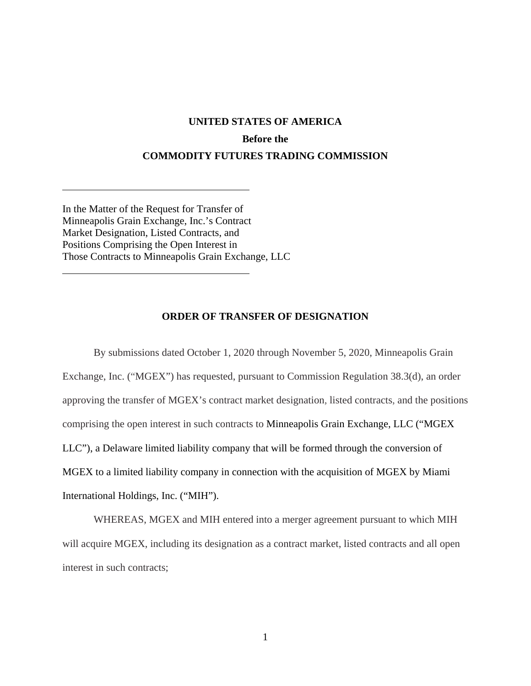## **UNITED STATES OF AMERICA Before the COMMODITY FUTURES TRADING COMMISSION**

In the Matter of the Request for Transfer of Minneapolis Grain Exchange, Inc.'s Contract Market Designation, Listed Contracts, and Positions Comprising the Open Interest in Those Contracts to Minneapolis Grain Exchange, LLC

 $\overline{a}$ 

 $\overline{a}$ 

## **ORDER OF TRANSFER OF DESIGNATION**

By submissions dated October 1, 2020 through November 5, 2020, Minneapolis Grain Exchange, Inc. ("MGEX") has requested, pursuant to Commission Regulation 38.3(d), an order approving the transfer of MGEX's contract market designation, listed contracts, and the positions comprising the open interest in such contracts to Minneapolis Grain Exchange, LLC ("MGEX LLC"), a Delaware limited liability company that will be formed through the conversion of MGEX to a limited liability company in connection with the acquisition of MGEX by Miami International Holdings, Inc. ("MIH").

WHEREAS, MGEX and MIH entered into a merger agreement pursuant to which MIH will acquire MGEX, including its designation as a contract market, listed contracts and all open interest in such contracts;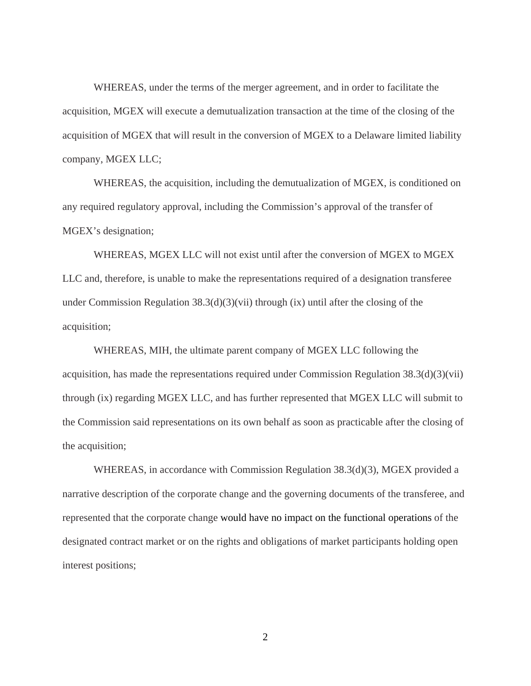WHEREAS, under the terms of the merger agreement, and in order to facilitate the acquisition, MGEX will execute a demutualization transaction at the time of the closing of the acquisition of MGEX that will result in the conversion of MGEX to a Delaware limited liability company, MGEX LLC;

WHEREAS, the acquisition, including the demutualization of MGEX, is conditioned on any required regulatory approval, including the Commission's approval of the transfer of MGEX's designation;

WHEREAS, MGEX LLC will not exist until after the conversion of MGEX to MGEX LLC and, therefore, is unable to make the representations required of a designation transferee under Commission Regulation 38.3(d)(3)(vii) through (ix) until after the closing of the acquisition;

WHEREAS, MIH, the ultimate parent company of MGEX LLC following the acquisition, has made the representations required under Commission Regulation 38.3(d)(3)(vii) through (ix) regarding MGEX LLC, and has further represented that MGEX LLC will submit to the Commission said representations on its own behalf as soon as practicable after the closing of the acquisition;

WHEREAS, in accordance with Commission Regulation 38.3(d)(3), MGEX provided a narrative description of the corporate change and the governing documents of the transferee, and represented that the corporate change would have no impact on the functional operations of the designated contract market or on the rights and obligations of market participants holding open interest positions;

2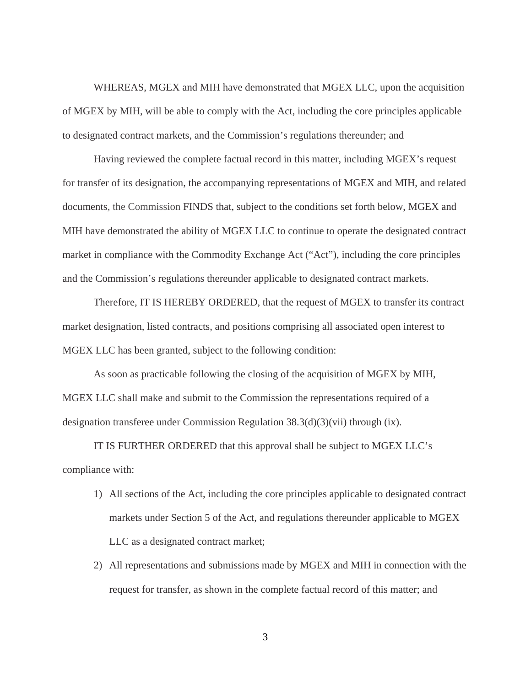WHEREAS, MGEX and MIH have demonstrated that MGEX LLC, upon the acquisition of MGEX by MIH, will be able to comply with the Act, including the core principles applicable to designated contract markets, and the Commission's regulations thereunder; and

Having reviewed the complete factual record in this matter, including MGEX's request for transfer of its designation, the accompanying representations of MGEX and MIH, and related documents, the Commission FINDS that, subject to the conditions set forth below, MGEX and MIH have demonstrated the ability of MGEX LLC to continue to operate the designated contract market in compliance with the Commodity Exchange Act ("Act"), including the core principles and the Commission's regulations thereunder applicable to designated contract markets.

Therefore, IT IS HEREBY ORDERED, that the request of MGEX to transfer its contract market designation, listed contracts, and positions comprising all associated open interest to MGEX LLC has been granted, subject to the following condition:

As soon as practicable following the closing of the acquisition of MGEX by MIH, MGEX LLC shall make and submit to the Commission the representations required of a designation transferee under Commission Regulation 38.3(d)(3)(vii) through (ix).

IT IS FURTHER ORDERED that this approval shall be subject to MGEX LLC's compliance with:

- 1) All sections of the Act, including the core principles applicable to designated contract markets under Section 5 of the Act, and regulations thereunder applicable to MGEX LLC as a designated contract market;
- 2) All representations and submissions made by MGEX and MIH in connection with the request for transfer, as shown in the complete factual record of this matter; and

3